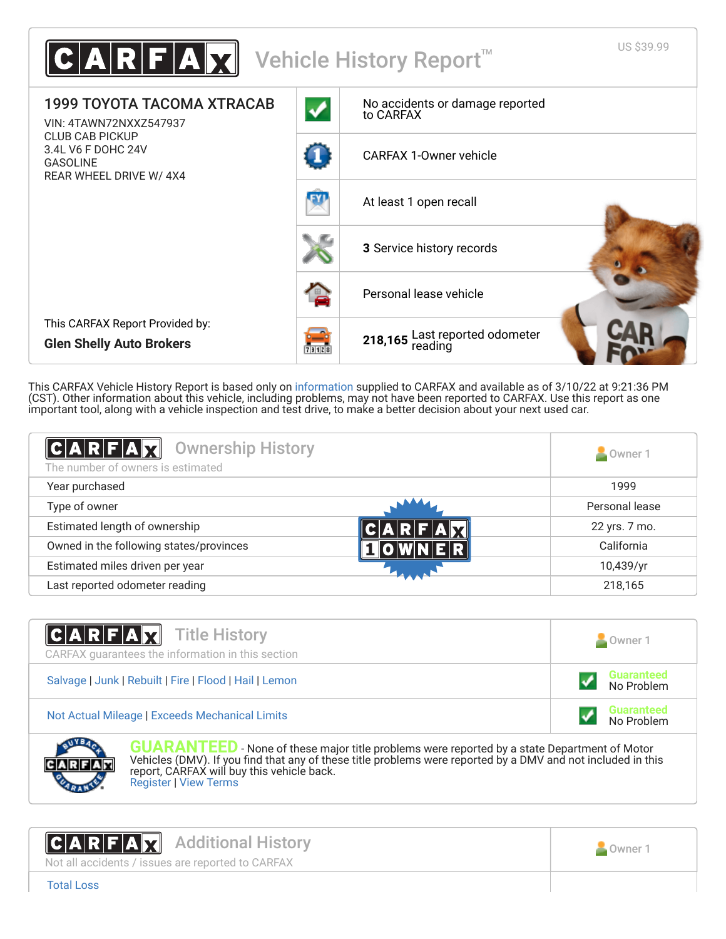

This CARFAX Vehicle History Report is based only on [information](http://www.carfax.com/company/vhr-data-sources) supplied to CARFAX and available as of 3/10/22 at 9:21:36 PM (CST). Other information about this vehicle, including problems, may not have been reported to CARFAX. Use this report as one important tool, along with a vehicle inspection and test drive, to make a better decision about your next used car.

<span id="page-0-1"></span>

| C A R F A X <br><b>Ownership History</b><br>The number of owners is estimated | Owner 1        |
|-------------------------------------------------------------------------------|----------------|
| Year purchased                                                                | 1999           |
| Type of owner                                                                 | Personal lease |
| Estimated length of ownership                                                 | 22 yrs. 7 mo.  |
| Owned in the following states/provinces                                       | California     |
| Estimated miles driven per year                                               | 10,439/yr      |
| Last reported odometer reading                                                | 218,165        |

| <b>CARFAX</b> Title History<br>CARFAX quarantees the information in this section | Owner 1                         |
|----------------------------------------------------------------------------------|---------------------------------|
| Salvage   Junk   Rebuilt   Fire   Flood   Hail   Lemon                           | Guaranteed<br>No Problem        |
| Not Actual Mileage   Exceeds Mechanical Limits                                   | <b>Guaranteed</b><br>No Problem |



**GUARANTEED** - None of these major title problems were reported by a state Department of Motor Vehicles (DMV). If you find that any of these title problems were reported by a DMV and not included in this report, CARFAX will buy this vehicle back. [Register](https://www.carfax.com/Service/bbg) | [View Terms](http://www.carfaxonline.com/legal/bbgTerms)

<span id="page-0-0"></span>

Not all accidents / issues are reported to CARFAX



[Total Loss](https://www.carfaxonline.com/vhrs/defTotalLoss)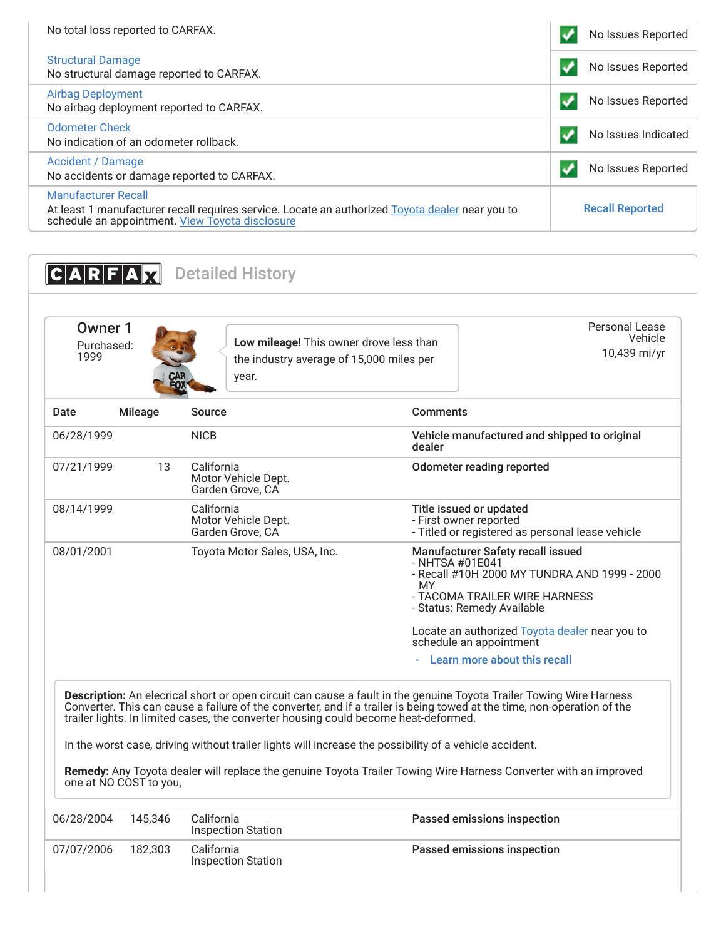| No total loss reported to CARFAX.                                                                                                                                                | No Issues Reported     |
|----------------------------------------------------------------------------------------------------------------------------------------------------------------------------------|------------------------|
| <b>Structural Damage</b><br>No structural damage reported to CARFAX.                                                                                                             | No Issues Reported     |
| Airbag Deployment<br>No airbag deployment reported to CARFAX.                                                                                                                    | No Issues Reported     |
| Odometer Check<br>No indication of an odometer rollback.                                                                                                                         | No Issues Indicated    |
| Accident / Damage<br>No accidents or damage reported to CARFAX.                                                                                                                  | No Issues Reported     |
| <b>Manufacturer Recall</b><br>At least 1 manufacturer recall requires service. Locate an authorized Toyota dealer near you to<br>schedule an appointment. View Toyota disclosure | <b>Recall Reported</b> |

<span id="page-1-1"></span><span id="page-1-0"></span>

| 1999       | Owner 1<br>Purchased: | Low mileage! This owner drove less than<br>the industry average of 15,000 miles per<br>year. | Personal Lease<br>Vehicle<br>10,439 mi/yr                                                                                                                                 |
|------------|-----------------------|----------------------------------------------------------------------------------------------|---------------------------------------------------------------------------------------------------------------------------------------------------------------------------|
| Date       | <b>Mileage</b>        | Source                                                                                       | <b>Comments</b>                                                                                                                                                           |
| 06/28/1999 |                       | <b>NICB</b>                                                                                  | Vehicle manufactured and shipped to original<br>dealer                                                                                                                    |
| 07/21/1999 | 13                    | California<br>Motor Vehicle Dept.<br>Garden Grove, CA                                        | <b>Odometer reading reported</b>                                                                                                                                          |
| 08/14/1999 |                       | California<br>Motor Vehicle Dept.<br>Garden Grove, CA                                        | Title issued or updated<br>- First owner reported<br>- Titled or registered as personal lease vehicle                                                                     |
| 08/01/2001 |                       | Toyota Motor Sales, USA, Inc.                                                                | Manufacturer Safety recall issued<br>- NHTSA #01E041<br>- Recall #10H 2000 MY TUNDRA AND 1999 - 2000<br>MY<br>- TACOMA TRAILER WIRE HARNESS<br>- Status: Remedy Available |
|            |                       |                                                                                              | Locate an authorized Toyota dealer near you to<br>schedule an appointment                                                                                                 |
|            |                       |                                                                                              | Learn more about this recall                                                                                                                                              |

In the worst case, driving without trailer lights will increase the possibility of a vehicle accident.

**Remedy:** Any Toyota dealer will replace the genuine Toyota Trailer Towing Wire Harness Converter with an improved one at NO COST to you,

| 06/28/2004 | 145.346 | California<br>Inspection Station | Passed emissions inspection |
|------------|---------|----------------------------------|-----------------------------|
| 07/07/2006 | 182.303 | California<br>Inspection Station | Passed emissions inspection |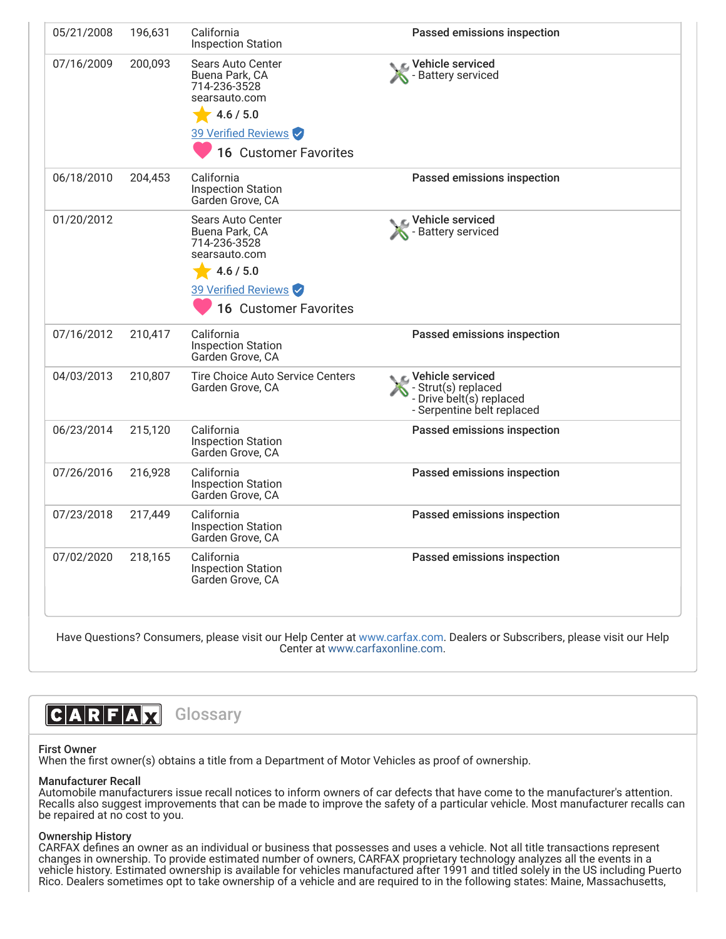| 05/21/2008 | 196,631 | California<br><b>Inspection Station</b>                                     | Passed emissions inspection                                                                     |
|------------|---------|-----------------------------------------------------------------------------|-------------------------------------------------------------------------------------------------|
| 07/16/2009 | 200,093 | <b>Sears Auto Center</b><br>Buena Park, CA<br>714-236-3528<br>searsauto.com | Vehicle serviced<br>Battery serviced                                                            |
|            |         | 4.6 / 5.0                                                                   |                                                                                                 |
|            |         | 39 Verified Reviews                                                         |                                                                                                 |
|            |         | 16 Customer Favorites                                                       |                                                                                                 |
| 06/18/2010 | 204,453 | California<br><b>Inspection Station</b><br>Garden Grove, CA                 | Passed emissions inspection                                                                     |
| 01/20/2012 |         | Sears Auto Center<br>Buena Park, CA<br>714-236-3528<br>searsauto.com        | <b>C</b> Vehicle serviced<br>Battery serviced                                                   |
|            |         | 4.6 / 5.0                                                                   |                                                                                                 |
|            |         | 39 Verified Reviews                                                         |                                                                                                 |
|            |         | <b>16 Customer Favorites</b>                                                |                                                                                                 |
| 07/16/2012 | 210,417 | California<br><b>Inspection Station</b><br>Garden Grove, CA                 | Passed emissions inspection                                                                     |
| 04/03/2013 | 210,807 | <b>Tire Choice Auto Service Centers</b><br>Garden Grove, CA                 | Vehicle serviced<br>Strut(s) replaced<br>- Drive belt(s) replaced<br>- Serpentine belt replaced |
| 06/23/2014 | 215,120 | California<br><b>Inspection Station</b><br>Garden Grove, CA                 | Passed emissions inspection                                                                     |
| 07/26/2016 | 216,928 | California<br><b>Inspection Station</b><br>Garden Grove, CA                 | Passed emissions inspection                                                                     |
| 07/23/2018 | 217,449 | California<br><b>Inspection Station</b><br>Garden Grove, CA                 | Passed emissions inspection                                                                     |
| 07/02/2020 | 218,165 | California<br><b>Inspection Station</b><br>Garden Grove, CA                 | Passed emissions inspection                                                                     |

<span id="page-2-0"></span>Center at [www.carfaxonline.com.](http://www.carfaxonline.com/)

# **CARFAX** Glossary

### First Owner

When the first owner(s) obtains a title from a Department of Motor Vehicles as proof of ownership.

## Manufacturer Recall

Automobile manufacturers issue recall notices to inform owners of car defects that have come to the manufacturer's attention. Recalls also suggest improvements that can be made to improve the safety of a particular vehicle. Most manufacturer recalls can be repaired at no cost to you.

#### Ownership History

CARFAX defines an owner as an individual or business that possesses and uses a vehicle. Not all title transactions represent changes in ownership. To provide estimated number of owners, CARFAX proprietary technology analyzes all the events in a vehicle history. Estimated ownership is available for vehicles manufactured after 1991 and titled solely in the US including Puerto Rico. Dealers sometimes opt to take ownership of a vehicle and are required to in the following states: Maine, Massachusetts,